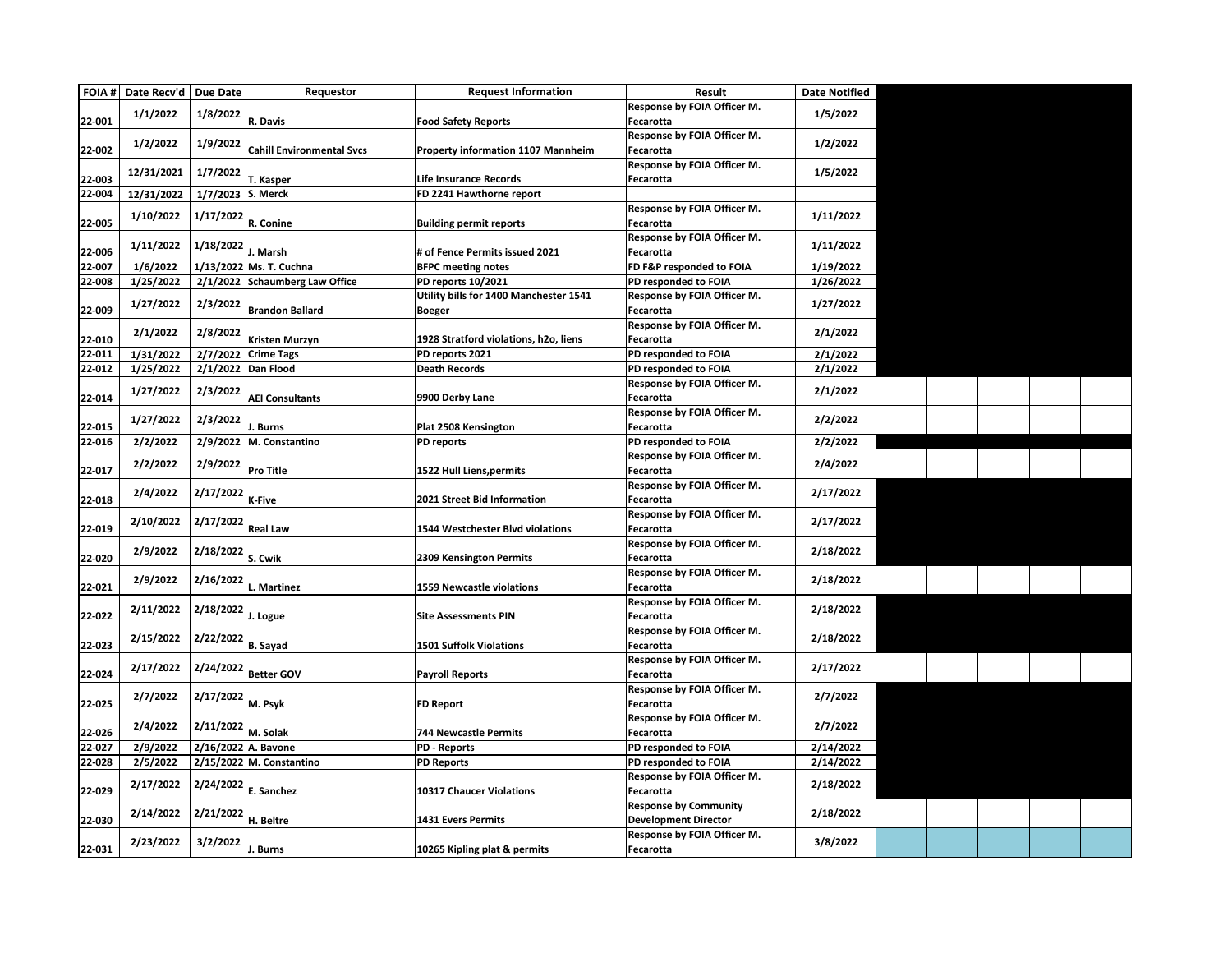|                  | FOIA # Date Recv'd   Due Date |                   | Requestor                             | <b>Request Information</b>                               | Result                            | <b>Date Notified</b> |  |  |  |
|------------------|-------------------------------|-------------------|---------------------------------------|----------------------------------------------------------|-----------------------------------|----------------------|--|--|--|
|                  |                               |                   |                                       |                                                          | Response by FOIA Officer M.       |                      |  |  |  |
| 22-001           | 1/1/2022                      | 1/8/2022          | R. Davis                              | <b>Food Safety Reports</b>                               | Fecarotta                         | 1/5/2022             |  |  |  |
|                  |                               |                   |                                       |                                                          | Response by FOIA Officer M.       |                      |  |  |  |
| 22-002           | 1/2/2022                      | 1/9/2022          | <b>Cahill Environmental Svcs</b>      | Property information 1107 Mannheim                       | Fecarotta                         | 1/2/2022             |  |  |  |
|                  |                               |                   |                                       |                                                          | Response by FOIA Officer M.       |                      |  |  |  |
| 22-003           | 12/31/2021                    | 1/7/2022          | T. Kasper                             | Life Insurance Records                                   | Fecarotta                         | 1/5/2022             |  |  |  |
| 22-004           | 12/31/2022                    | 1/7/2023 S. Merck |                                       | FD 2241 Hawthorne report                                 |                                   |                      |  |  |  |
|                  |                               |                   |                                       |                                                          | Response by FOIA Officer M.       |                      |  |  |  |
| 22-005           | 1/10/2022                     | 1/17/2022         | R. Conine                             | <b>Building permit reports</b>                           | Fecarotta                         | 1/11/2022            |  |  |  |
|                  |                               |                   |                                       |                                                          | Response by FOIA Officer M.       |                      |  |  |  |
| 22-006           | 1/11/2022                     | 1/18/2022         | . Marsh                               | # of Fence Permits issued 2021                           | Fecarotta                         | 1/11/2022            |  |  |  |
| 22-007           | 1/6/2022                      |                   | 1/13/2022 Ms. T. Cuchna               | <b>BFPC meeting notes</b>                                | FD F&P responded to FOIA          | 1/19/2022            |  |  |  |
| 22-008           | 1/25/2022                     |                   | 2/1/2022 Schaumberg Law Office        | PD reports 10/2021                                       | PD responded to FOIA              | 1/26/2022            |  |  |  |
|                  |                               |                   |                                       | Utility bills for 1400 Manchester 1541                   | Response by FOIA Officer M.       |                      |  |  |  |
| 22-009           | 1/27/2022                     | 2/3/2022          | <b>Brandon Ballard</b>                |                                                          | Fecarotta                         | 1/27/2022            |  |  |  |
|                  |                               |                   |                                       | <b>Boeger</b>                                            |                                   |                      |  |  |  |
|                  | 2/1/2022                      | 2/8/2022          |                                       |                                                          | Response by FOIA Officer M.       | 2/1/2022             |  |  |  |
| 22-010<br>22-011 | 1/31/2022                     |                   | Kristen Murzyn<br>2/7/2022 Crime Tags | 1928 Stratford violations, h2o, liens<br>PD reports 2021 | Fecarotta<br>PD responded to FOIA | 2/1/2022             |  |  |  |
|                  |                               |                   |                                       | <b>Death Records</b>                                     |                                   |                      |  |  |  |
| 22-012           | 1/25/2022                     |                   | 2/1/2022 Dan Flood                    |                                                          | PD responded to FOIA              | 2/1/2022             |  |  |  |
|                  | 1/27/2022                     | 2/3/2022          |                                       |                                                          | Response by FOIA Officer M.       | 2/1/2022             |  |  |  |
| 22-014           |                               |                   | <b>AEI Consultants</b>                | 9900 Derby Lane                                          | Fecarotta                         |                      |  |  |  |
|                  | 1/27/2022                     | 2/3/2022          |                                       |                                                          | Response by FOIA Officer M.       | 2/2/2022             |  |  |  |
| 22-015           |                               |                   | . Burns                               | Plat 2508 Kensington                                     | Fecarotta                         |                      |  |  |  |
| 22-016           | 2/2/2022                      |                   | 2/9/2022 M. Constantino               | PD reports                                               | PD responded to FOIA              | 2/2/2022             |  |  |  |
|                  | 2/2/2022                      | 2/9/2022          |                                       |                                                          | Response by FOIA Officer M.       | 2/4/2022             |  |  |  |
| 22-017           |                               |                   | <b>Pro Title</b>                      | 1522 Hull Liens, permits                                 | Fecarotta                         |                      |  |  |  |
|                  | 2/4/2022                      | 2/17/2022         |                                       |                                                          | Response by FOIA Officer M.       | 2/17/2022            |  |  |  |
| 22-018           |                               |                   | K-Five                                | 2021 Street Bid Information                              | Fecarotta                         |                      |  |  |  |
|                  | 2/10/2022                     | 2/17/2022         |                                       |                                                          | Response by FOIA Officer M.       | 2/17/2022            |  |  |  |
| 22-019           |                               |                   | <b>Real Law</b>                       | 1544 Westchester Blvd violations                         | Fecarotta                         |                      |  |  |  |
|                  | 2/9/2022                      | 2/18/2022         |                                       |                                                          | Response by FOIA Officer M.       | 2/18/2022            |  |  |  |
| 22-020           |                               |                   | S. Cwik                               | 2309 Kensington Permits                                  | Fecarotta                         |                      |  |  |  |
|                  | 2/9/2022                      | 2/16/2022         |                                       |                                                          | Response by FOIA Officer M.       | 2/18/2022            |  |  |  |
| 22-021           |                               |                   | L. Martinez                           | <b>1559 Newcastle violations</b>                         | Fecarotta                         |                      |  |  |  |
|                  | 2/11/2022                     | 2/18/2022         |                                       |                                                          | Response by FOIA Officer M.       | 2/18/2022            |  |  |  |
| 22-022           |                               |                   | J. Logue                              | <b>Site Assessments PIN</b>                              | Fecarotta                         |                      |  |  |  |
|                  |                               |                   |                                       |                                                          | Response by FOIA Officer M.       | 2/18/2022            |  |  |  |
| 22-023           | 2/15/2022                     | 2/22/2022         | <b>B.</b> Sayad                       | <b>1501 Suffolk Violations</b>                           | Fecarotta                         |                      |  |  |  |
|                  |                               |                   |                                       |                                                          | Response by FOIA Officer M.       |                      |  |  |  |
| 22-024           | 2/17/2022                     | 2/24/2022         | <b>Better GOV</b>                     | <b>Payroll Reports</b>                                   | Fecarotta                         | 2/17/2022            |  |  |  |
|                  |                               |                   |                                       |                                                          | Response by FOIA Officer M.       |                      |  |  |  |
| 22-025           | 2/7/2022                      | 2/17/2022         | M. Psyk                               | FD Report                                                | Fecarotta                         | 2/7/2022             |  |  |  |
|                  |                               |                   |                                       |                                                          | Response by FOIA Officer M.       |                      |  |  |  |
| 22-026           | 2/4/2022                      | 2/11/2022         | M. Solak                              | <b>744 Newcastle Permits</b>                             | Fecarotta                         | 2/7/2022             |  |  |  |
| 22-027           | 2/9/2022                      |                   | 2/16/2022 A. Bavone                   | <b>PD - Reports</b>                                      | PD responded to FOIA              | 2/14/2022            |  |  |  |
| 22-028           | 2/5/2022                      |                   | 2/15/2022 M. Constantino              | <b>PD Reports</b>                                        | PD responded to FOIA              | 2/14/2022            |  |  |  |
|                  |                               |                   |                                       |                                                          | Response by FOIA Officer M.       |                      |  |  |  |
| 22-029           | 2/17/2022                     | 2/24/2022         | E. Sanchez                            | 10317 Chaucer Violations                                 | Fecarotta                         | 2/18/2022            |  |  |  |
|                  |                               |                   |                                       |                                                          | <b>Response by Community</b>      |                      |  |  |  |
| 22-030           | 2/14/2022                     | 2/21/2022         | H. Beltre                             | <b>1431 Evers Permits</b>                                | <b>Development Director</b>       | 2/18/2022            |  |  |  |
|                  |                               |                   |                                       |                                                          | Response by FOIA Officer M.       |                      |  |  |  |
| 22-031           | 2/23/2022                     | 3/2/2022          | J. Burns                              | 10265 Kipling plat & permits                             | Fecarotta                         | 3/8/2022             |  |  |  |
|                  |                               |                   |                                       |                                                          |                                   |                      |  |  |  |